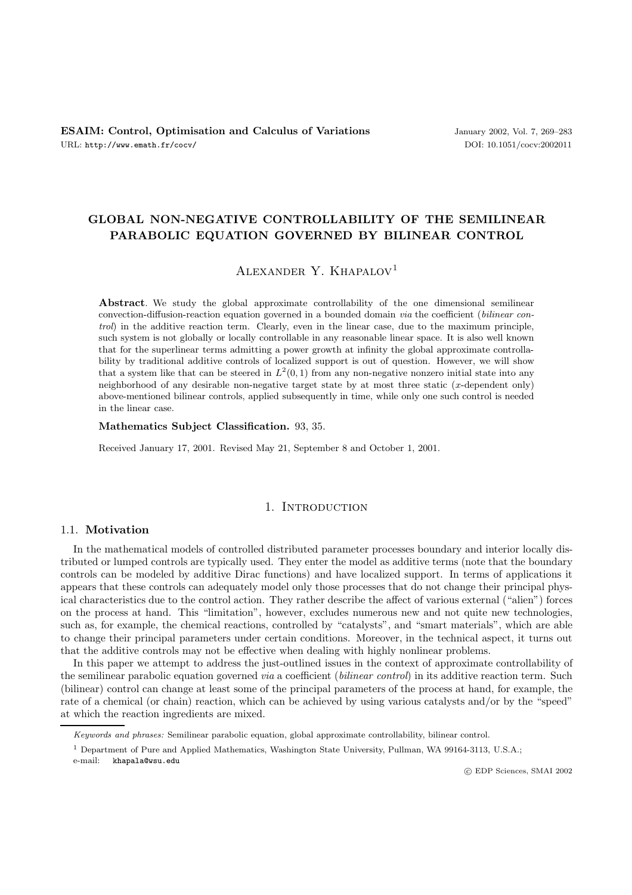# **GLOBAL NON-NEGATIVE CONTROLLABILITY OF THE SEMILINEAR PARABOLIC EQUATION GOVERNED BY BILINEAR CONTROL**

# ALEXANDER Y. KHAPALOV<sup>1</sup>

**Abstract**. We study the global approximate controllability of the one dimensional semilinear convection-diffusion-reaction equation governed in a bounded domain via the coefficient (bilinear control) in the additive reaction term. Clearly, even in the linear case, due to the maximum principle, such system is not globally or locally controllable in any reasonable linear space. It is also well known that for the superlinear terms admitting a power growth at infinity the global approximate controllability by traditional additive controls of localized support is out of question. However, we will show that a system like that can be steered in  $L^2(0,1)$  from any non-negative nonzero initial state into any neighborhood of any desirable non-negative target state by at most three static  $(x$ -dependent only) above-mentioned bilinear controls, applied subsequently in time, while only one such control is needed in the linear case.

**Mathematics Subject Classification.** 93, 35.

Received January 17, 2001. Revised May 21, September 8 and October 1, 2001.

### 1. INTRODUCTION

# 1.1. **Motivation**

In the mathematical models of controlled distributed parameter processes boundary and interior locally distributed or lumped controls are typically used. They enter the model as additive terms (note that the boundary controls can be modeled by additive Dirac functions) and have localized support. In terms of applications it appears that these controls can adequately model only those processes that do not change their principal physical characteristics due to the control action. They rather describe the affect of various external ("alien") forces on the process at hand. This "limitation", however, excludes numerous new and not quite new technologies, such as, for example, the chemical reactions, controlled by "catalysts", and "smart materials", which are able to change their principal parameters under certain conditions. Moreover, in the technical aspect, it turns out that the additive controls may not be effective when dealing with highly nonlinear problems.

In this paper we attempt to address the just-outlined issues in the context of approximate controllability of the semilinear parabolic equation governed *via* a coefficient (*bilinear control*) in its additive reaction term. Such (bilinear) control can change at least some of the principal parameters of the process at hand, for example, the rate of a chemical (or chain) reaction, which can be achieved by using various catalysts and/or by the "speed" at which the reaction ingredients are mixed.

e-mail: khapala@wsu.edu

c EDP Sciences, SMAI 2002

Keywords and phrases: Semilinear parabolic equation, global approximate controllability, bilinear control.

<sup>1</sup> Department of Pure and Applied Mathematics, Washington State University, Pullman, WA 99164-3113, U.S.A.;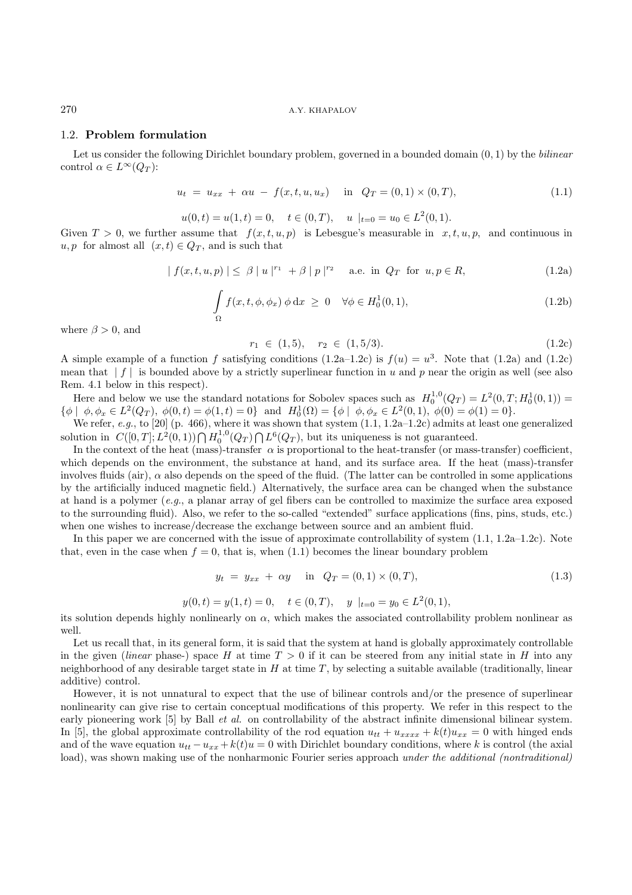270 A.Y. KHAPALOV

### 1.2. **Problem formulation**

Let us consider the following Dirichlet boundary problem, governed in a bounded domain  $(0, 1)$  by the *bilinear* control  $\alpha \in L^{\infty}(Q_T)$ :

$$
u_t = u_{xx} + \alpha u - f(x, t, u, u_x) \quad \text{in} \quad Q_T = (0, 1) \times (0, T), \tag{1.1}
$$

$$
u(0,t) = u(1,t) = 0
$$
,  $t \in (0,T)$ ,  $u|_{t=0} = u_0 \in L^2(0,1)$ .

Given  $T > 0$ , we further assume that  $f(x, t, u, p)$  is Lebesgue's measurable in  $x, t, u, p$ , and continuous in  $u, p$  for almost all  $(x, t) \in Q_T$ , and is such that

$$
| f(x, t, u, p) | \leq \beta | u |^{r_1} + \beta | p |^{r_2} \quad \text{a.e. in } Q_T \text{ for } u, p \in R,
$$
 (1.2a)

$$
\int_{\Omega} f(x, t, \phi, \phi_x) \phi \,dx \ge 0 \quad \forall \phi \in H_0^1(0, 1), \tag{1.2b}
$$

where  $\beta > 0$ , and

$$
r_1 \in (1,5), \quad r_2 \in (1,5/3). \tag{1.2c}
$$

A simple example of a function f satisfying conditions  $(1.2a-1.2c)$  is  $f(u) = u^3$ . Note that  $(1.2a)$  and  $(1.2c)$ mean that  $|f|$  is bounded above by a strictly superlinear function in u and p near the origin as well (see also Rem. 4.1 below in this respect).

Here and below we use the standard notations for Sobolev spaces such as  $H_0^{1,0}(Q_T) = L^2(0,T; H_0^1(0,1)) =$  $\{\phi \mid \phi, \phi_x \in L^2(Q_T), \ \phi(0, t) = \phi(1, t) = 0\}$  and  $H_0^1(\Omega) = \{\phi \mid \phi, \phi_x \in L^2(0, 1), \ \phi(0) = \phi(1) = 0\}.$ 

We refer, e.g., to  $[20]$  (p. 466), where it was shown that system  $(1.1, 1.2a-1.2c)$  admits at least one generalized solution in  $C([0,T]; L^2(0,1)) \cap H_0^{1,0}(Q_T) \cap L^6(Q_T)$ , but its uniqueness is not guaranteed.

In the context of the heat (mass)-transfer  $\alpha$  is proportional to the heat-transfer (or mass-transfer) coefficient, which depends on the environment, the substance at hand, and its surface area. If the heat (mass)-transfer involves fluids (air),  $\alpha$  also depends on the speed of the fluid. (The latter can be controlled in some applications by the artificially induced magnetic field.) Alternatively, the surface area can be changed when the substance at hand is a polymer (e.g., a planar array of gel fibers can be controlled to maximize the surface area exposed to the surrounding fluid). Also, we refer to the so-called "extended" surface applications (fins, pins, studs, etc.) when one wishes to increase/decrease the exchange between source and an ambient fluid.

In this paper we are concerned with the issue of approximate controllability of system  $(1.1, 1.2a-1.2c)$ . Note that, even in the case when  $f = 0$ , that is, when (1.1) becomes the linear boundary problem

$$
y_t = y_{xx} + \alpha y \quad \text{in} \quad Q_T = (0, 1) \times (0, T), \tag{1.3}
$$

$$
y(0,t) = y(1,t) = 0
$$
,  $t \in (0,T)$ ,  $y|_{t=0} = y_0 \in L^2(0,1)$ ,

its solution depends highly nonlinearly on  $\alpha$ , which makes the associated controllability problem nonlinear as well.

Let us recall that, in its general form, it is said that the system at hand is globally approximately controllable in the given (linear phase-) space H at time  $T > 0$  if it can be steered from any initial state in H into any neighborhood of any desirable target state in  $H$  at time  $T$ , by selecting a suitable available (traditionally, linear additive) control.

However, it is not unnatural to expect that the use of bilinear controls and/or the presence of superlinear nonlinearity can give rise to certain conceptual modifications of this property. We refer in this respect to the early pioneering work [5] by Ball *et al.* on controllability of the abstract infinite dimensional bilinear system. In [5], the global approximate controllability of the rod equation  $u_{tt} + u_{xxxx} + k(t)u_{xx} = 0$  with hinged ends and of the wave equation  $u_{tt} - u_{xx} + k(t)u = 0$  with Dirichlet boundary conditions, where k is control (the axial load), was shown making use of the nonharmonic Fourier series approach under the additional (nontraditional)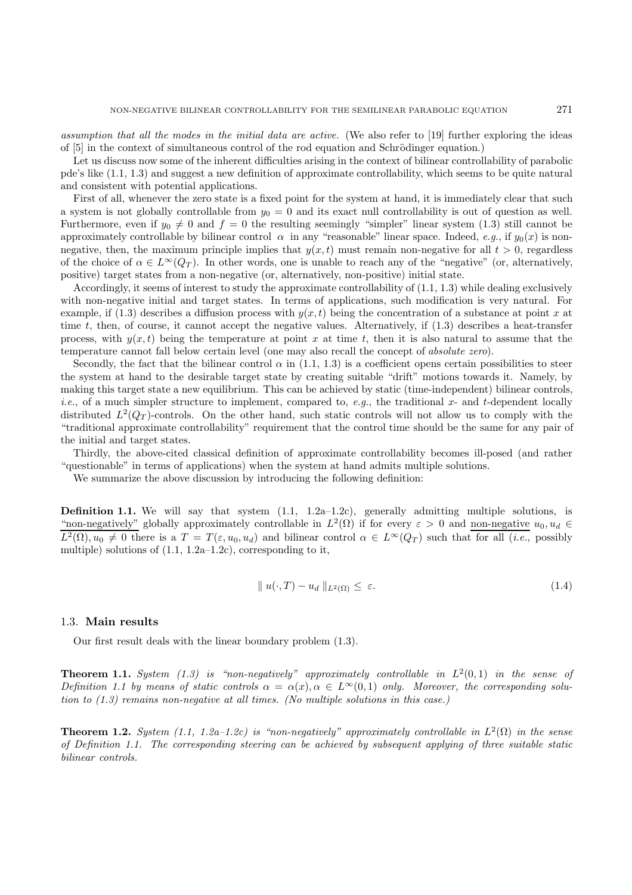assumption that all the modes in the initial data are active. (We also refer to [19] further exploring the ideas of [5] in the context of simultaneous control of the rod equation and Schrödinger equation.)

Let us discuss now some of the inherent difficulties arising in the context of bilinear controllability of parabolic pde's like (1.1, 1.3) and suggest a new definition of approximate controllability, which seems to be quite natural and consistent with potential applications.

First of all, whenever the zero state is a fixed point for the system at hand, it is immediately clear that such a system is not globally controllable from  $y_0 = 0$  and its exact null controllability is out of question as well. Furthermore, even if  $y_0 \neq 0$  and  $f = 0$  the resulting seemingly "simpler" linear system (1.3) still cannot be approximately controllable by bilinear control  $\alpha$  in any "reasonable" linear space. Indeed, e.g., if  $y_0(x)$  is nonnegative, then, the maximum principle implies that  $y(x, t)$  must remain non-negative for all  $t > 0$ , regardless of the choice of  $\alpha \in L^{\infty}(Q_T)$ . In other words, one is unable to reach any of the "negative" (or, alternatively, positive) target states from a non-negative (or, alternatively, non-positive) initial state.

Accordingly, it seems of interest to study the approximate controllability of (1.1, 1.3) while dealing exclusively with non-negative initial and target states. In terms of applications, such modification is very natural. For example, if (1.3) describes a diffusion process with  $y(x, t)$  being the concentration of a substance at point x at time  $t$ , then, of course, it cannot accept the negative values. Alternatively, if  $(1.3)$  describes a heat-transfer process, with  $y(x, t)$  being the temperature at point x at time t, then it is also natural to assume that the temperature cannot fall below certain level (one may also recall the concept of absolute zero).

Secondly, the fact that the bilinear control  $\alpha$  in (1.1, 1.3) is a coefficient opens certain possibilities to steer the system at hand to the desirable target state by creating suitable "drift" motions towards it. Namely, by making this target state a new equilibrium. This can be achieved by static (time-independent) bilinear controls, *i.e.*, of a much simpler structure to implement, compared to, e.g., the traditional x- and t-dependent locally distributed  $L^2(Q_T)$ -controls. On the other hand, such static controls will not allow us to comply with the "traditional approximate controllability" requirement that the control time should be the same for any pair of the initial and target states.

Thirdly, the above-cited classical definition of approximate controllability becomes ill-posed (and rather "questionable" in terms of applications) when the system at hand admits multiple solutions.

We summarize the above discussion by introducing the following definition:

**Definition 1.1.** We will say that system  $(1.1, 1.2a-1.2c)$ , generally admitting multiple solutions, is "non-negatively" globally approximately controllable in  $L^2(\Omega)$  if for every  $\varepsilon > 0$  and non-negative  $u_0, u_d \in$  $L^2(\Omega), u_0 \neq 0$  there is a  $T = T(\varepsilon, u_0, u_d)$  and bilinear control  $\alpha \in L^\infty(Q_T)$  such that for all (*i.e.*, possibly multiple) solutions of  $(1.1, 1.2a-1.2c)$ , corresponding to it,

$$
\|u(\cdot,T) - u_d\|_{L^2(\Omega)} \le \varepsilon. \tag{1.4}
$$

#### 1.3. **Main results**

Our first result deals with the linear boundary problem (1.3).

**Theorem 1.1.** System  $(1.3)$  is "non-negatively" approximately controllable in  $L^2(0,1)$  in the sense of Definition 1.1 by means of static controls  $\alpha = \alpha(x), \alpha \in L^{\infty}(0,1)$  only. Moreover, the corresponding solution to  $(1.3)$  remains non-negative at all times. (No multiple solutions in this case.)

**Theorem 1.2.** System (1.1, 1.2a–1.2c) is "non-negatively" approximately controllable in  $L^2(\Omega)$  in the sense of Definition 1.1. The corresponding steering can be achieved by subsequent applying of three suitable static bilinear controls.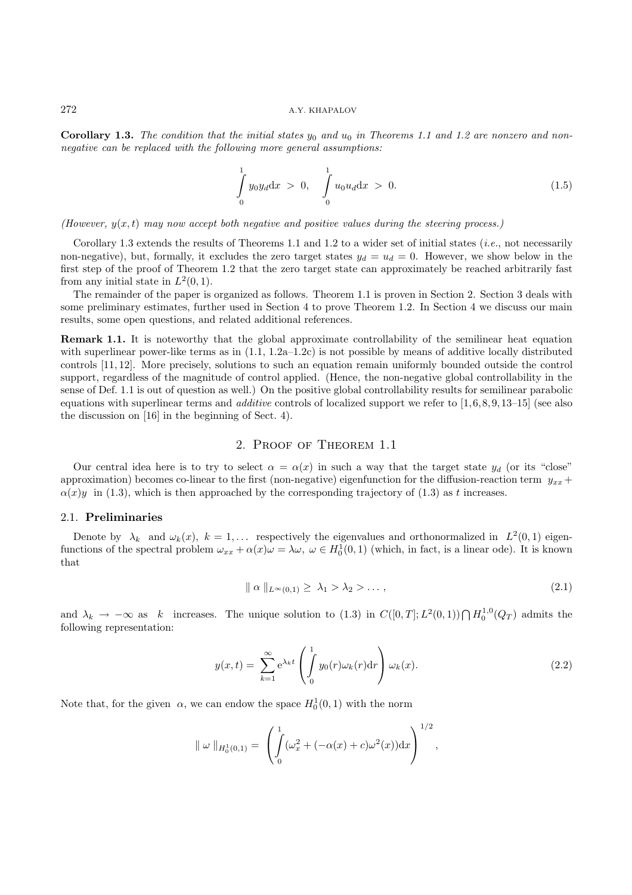**Corollary 1.3.** The condition that the initial states  $y_0$  and  $u_0$  in Theorems 1.1 and 1.2 are nonzero and nonnegative can be replaced with the following more general assumptions:

$$
\int_{0}^{1} y_0 y_d \, \mathrm{d}x > 0, \quad \int_{0}^{1} u_0 u_d \, \mathrm{d}x > 0. \tag{1.5}
$$

(However,  $y(x, t)$  may now accept both negative and positive values during the steering process.)

Corollary 1.3 extends the results of Theorems 1.1 and 1.2 to a wider set of initial states (*i.e.*, not necessarily non-negative), but, formally, it excludes the zero target states  $y_d = u_d = 0$ . However, we show below in the first step of the proof of Theorem 1.2 that the zero target state can approximately be reached arbitrarily fast from any initial state in  $L^2(0,1)$ .

The remainder of the paper is organized as follows. Theorem 1.1 is proven in Section 2. Section 3 deals with some preliminary estimates, further used in Section 4 to prove Theorem 1.2. In Section 4 we discuss our main results, some open questions, and related additional references.

**Remark 1.1.** It is noteworthy that the global approximate controllability of the semilinear heat equation with superlinear power-like terms as in  $(1.1, 1.2a-1.2c)$  is not possible by means of additive locally distributed controls [11, 12]. More precisely, solutions to such an equation remain uniformly bounded outside the control support, regardless of the magnitude of control applied. (Hence, the non-negative global controllability in the sense of Def. 1.1 is out of question as well.) On the positive global controllability results for semilinear parabolic equations with superlinear terms and *additive* controls of localized support we refer to  $[1, 6, 8, 9, 13-15]$  (see also the discussion on [16] in the beginning of Sect. 4).

#### 2. Proof of Theorem 1.1

Our central idea here is to try to select  $\alpha = \alpha(x)$  in such a way that the target state  $y_d$  (or its "close" approximation) becomes co-linear to the first (non-negative) eigenfunction for the diffusion-reaction term  $y_{xx}$  +  $\alpha(x)y$  in (1.3), which is then approached by the corresponding trajectory of (1.3) as t increases.

### 2.1. **Preliminaries**

Denote by  $\lambda_k$  and  $\omega_k(x)$ ,  $k = 1,...$  respectively the eigenvalues and orthonormalized in  $L^2(0,1)$  eigenfunctions of the spectral problem  $\omega_{xx} + \alpha(x)\omega = \lambda\omega$ ,  $\omega \in H_0^1(0,1)$  (which, in fact, is a linear ode). It is known that

$$
\| \alpha \|_{L^{\infty}(0,1)} \geq \lambda_1 > \lambda_2 > \dots,
$$
\n
$$
(2.1)
$$

and  $\lambda_k \to -\infty$  as k increases. The unique solution to (1.3) in  $C([0,T];L^2(0,1)) \cap H_0^{1,0}(Q_T)$  admits the following representation:

$$
y(x,t) = \sum_{k=1}^{\infty} e^{\lambda_k t} \left( \int_0^1 y_0(r) \omega_k(r) dr \right) \omega_k(x).
$$
 (2.2)

Note that, for the given  $\alpha$ , we can endow the space  $H_0^1(0,1)$  with the norm

$$
\|\omega\|_{H_0^1(0,1)} = \left(\int_0^1 (\omega_x^2 + (-\alpha(x) + c)\omega^2(x))dx\right)^{1/2},\,
$$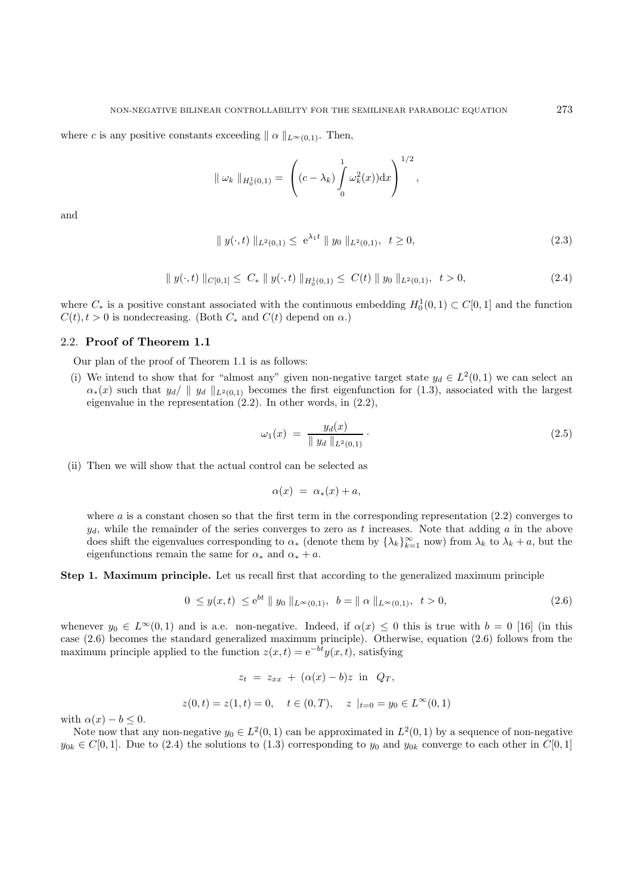where c is any positive constants exceeding  $|| \alpha ||_{L^{\infty}(0,1)}$ . Then,

$$
\|\omega_k\|_{H_0^1(0,1)} = \left( (c - \lambda_k) \int_0^1 \omega_k^2(x) dx \right)^{1/2},
$$

and

$$
\| y(\cdot, t) \|_{L^2(0,1)} \le e^{\lambda_1 t} \| y_0 \|_{L^2(0,1)}, \quad t \ge 0,
$$
\n(2.3)

$$
\| y(\cdot, t) \|_{C[0,1]} \leq C_* \| y(\cdot, t) \|_{H_0^1(0,1)} \leq C(t) \| y_0 \|_{L^2(0,1)}, \quad t > 0,
$$
\n(2.4)

where  $C_*$  is a positive constant associated with the continuous embedding  $H_0^1(0,1) \subset C[0,1]$  and the function  $C(t)$ ,  $t>0$  is nondecreasing. (Both  $C_*$  and  $C(t)$  depend on  $\alpha$ .)

# 2.2. **Proof of Theorem 1.1**

Our plan of the proof of Theorem 1.1 is as follows:

(i) We intend to show that for "almost any" given non-negative target state  $y_d \in L^2(0,1)$  we can select an  $\alpha_*(x)$  such that  $y_d$  |  $y_d$  |  $L^2(0,1)$  becomes the first eigenfunction for (1.3), associated with the largest eigenvalue in the representation  $(2.2)$ . In other words, in  $(2.2)$ ,

$$
\omega_1(x) = \frac{y_d(x)}{\|y_d\|_{L^2(0,1)}}.
$$
\n(2.5)

(ii) Then we will show that the actual control can be selected as

$$
\alpha(x) = \alpha_*(x) + a,
$$

where  $a$  is a constant chosen so that the first term in the corresponding representation  $(2.2)$  converges to  $y_d$ , while the remainder of the series converges to zero as t increases. Note that adding a in the above does shift the eigenvalues corresponding to  $\alpha_*$  (denote them by  $\{\lambda_k\}_{k=1}^{\infty}$  now) from  $\lambda_k$  to  $\lambda_k + a$ , but the eigenfunctions remain the same for  $\alpha_*$  and  $\alpha_* + a$ .

**Step 1. Maximum principle.** Let us recall first that according to the generalized maximum principle

$$
0 \le y(x,t) \le e^{bt} \parallel y_0 \parallel_{L^{\infty}(0,1)}, \ b = \parallel \alpha \parallel_{L^{\infty}(0,1)}, \ t > 0,
$$
\n(2.6)

whenever  $y_0 \in L^{\infty}(0,1)$  and is a.e. non-negative. Indeed, if  $\alpha(x) \leq 0$  this is true with  $b = 0$  [16] (in this case (2.6) becomes the standard generalized maximum principle). Otherwise, equation (2.6) follows from the maximum principle applied to the function  $z(x, t)=e^{-bt}y(x, t)$ , satisfying

$$
z_t = z_{xx} + (\alpha(x) - b)z \text{ in } Q_T,
$$
  

$$
z(0, t) = z(1, t) = 0, \quad t \in (0, T), \quad z \mid_{t=0} = y_0 \in L^{\infty}(0, 1)
$$

with  $\alpha(x) - b \leq 0$ .

Note now that any non-negative  $y_0 \in L^2(0,1)$  can be approximated in  $L^2(0,1)$  by a sequence of non-negative  $y_{0k} \in C[0,1]$ . Due to (2.4) the solutions to (1.3) corresponding to  $y_0$  and  $y_{0k}$  converge to each other in  $C[0,1]$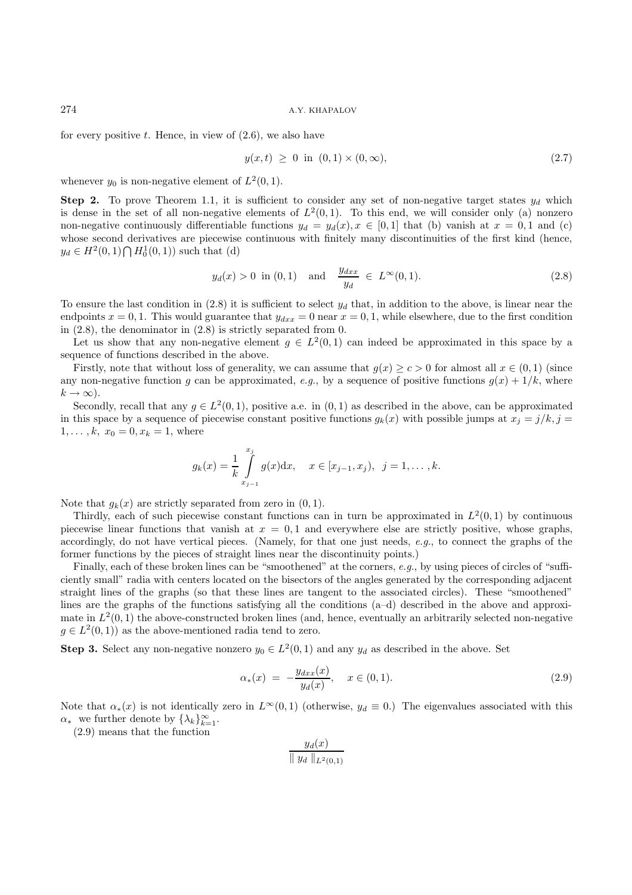for every positive t. Hence, in view of  $(2.6)$ , we also have

$$
y(x,t) \ge 0 \text{ in } (0,1) \times (0,\infty), \tag{2.7}
$$

whenever  $y_0$  is non-negative element of  $L^2(0, 1)$ .

**Step 2.** To prove Theorem 1.1, it is sufficient to consider any set of non-negative target states  $y_d$  which is dense in the set of all non-negative elements of  $L^2(0,1)$ . To this end, we will consider only (a) nonzero non-negative continuously differentiable functions  $y_d = y_d(x), x \in [0,1]$  that (b) vanish at  $x = 0,1$  and (c) whose second derivatives are piecewise continuous with finitely many discontinuities of the first kind (hence,  $y_d \in H^2(0,1) \bigcap H_0^1(0,1)$  such that (d)

$$
y_d(x) > 0
$$
 in (0, 1) and  $\frac{y_{dxx}}{y_d} \in L^{\infty}(0, 1).$  (2.8)

To ensure the last condition in  $(2.8)$  it is sufficient to select  $y_d$  that, in addition to the above, is linear near the endpoints  $x = 0, 1$ . This would guarantee that  $y_{dx} = 0$  near  $x = 0, 1$ , while elsewhere, due to the first condition in (2.8), the denominator in (2.8) is strictly separated from 0.

Let us show that any non-negative element  $g \in L^2(0,1)$  can indeed be approximated in this space by a sequence of functions described in the above.

Firstly, note that without loss of generality, we can assume that  $g(x) \ge c > 0$  for almost all  $x \in (0,1)$  (since any non-negative function g can be approximated, e.g., by a sequence of positive functions  $g(x) + 1/k$ , where  $k \to \infty$ ).

Secondly, recall that any  $q \in L^2(0,1)$ , positive a.e. in  $(0,1)$  as described in the above, can be approximated in this space by a sequence of piecewise constant positive functions  $g_k(x)$  with possible jumps at  $x_j = j/k$ ,  $j =$  $1, \ldots, k, x_0 = 0, x_k = 1$ , where

$$
g_k(x) = \frac{1}{k} \int_{x_{j-1}}^{x_j} g(x) dx
$$
,  $x \in [x_{j-1}, x_j)$ ,  $j = 1, ..., k$ .

Note that  $g_k(x)$  are strictly separated from zero in  $(0, 1)$ .

Thirdly, each of such piecewise constant functions can in turn be approximated in  $L^2(0,1)$  by continuous piecewise linear functions that vanish at  $x = 0, 1$  and everywhere else are strictly positive, whose graphs, accordingly, do not have vertical pieces. (Namely, for that one just needs, e.g., to connect the graphs of the former functions by the pieces of straight lines near the discontinuity points.)

Finally, each of these broken lines can be "smoothened" at the corners, e.g., by using pieces of circles of "sufficiently small" radia with centers located on the bisectors of the angles generated by the corresponding adjacent straight lines of the graphs (so that these lines are tangent to the associated circles). These "smoothened" lines are the graphs of the functions satisfying all the conditions (a–d) described in the above and approximate in  $L^2(0,1)$  the above-constructed broken lines (and, hence, eventually an arbitrarily selected non-negative  $g \in L^2(0,1)$  as the above-mentioned radia tend to zero.

**Step 3.** Select any non-negative nonzero  $y_0 \in L^2(0,1)$  and any  $y_d$  as described in the above. Set

$$
\alpha_*(x) = -\frac{y_{dx}(x)}{y_d(x)}, \quad x \in (0, 1). \tag{2.9}
$$

Note that  $\alpha_*(x)$  is not identically zero in  $L^{\infty}(0,1)$  (otherwise,  $y_d \equiv 0$ .) The eigenvalues associated with this  $\alpha_*$  we further denote by  $\{\lambda_k\}_{k=1}^{\infty}$ .

(2.9) means that the function

$$
\frac{y_d(x)}{\parallel y_d \parallel_{L^2(0,1)}}
$$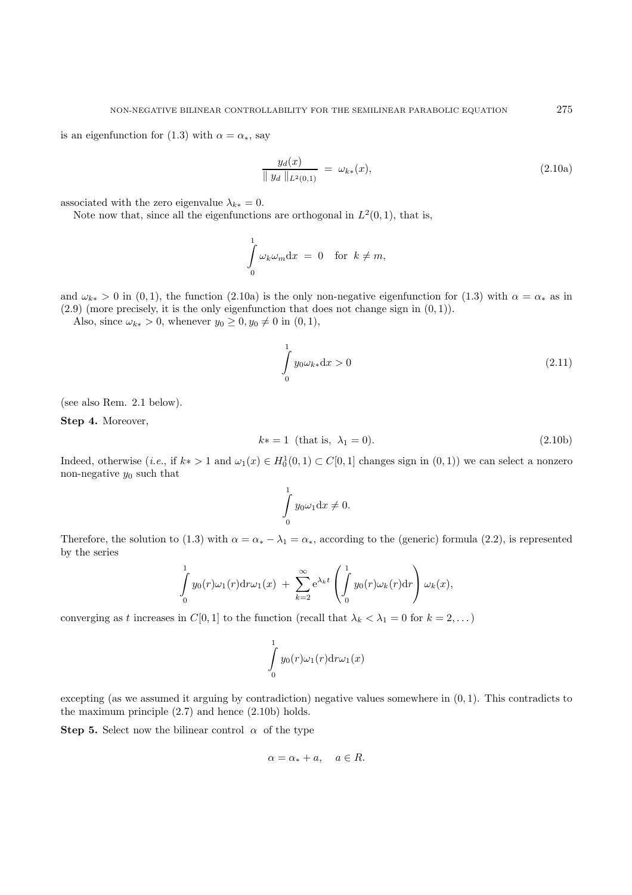is an eigenfunction for (1.3) with  $\alpha = \alpha_*$ , say

$$
\frac{y_d(x)}{\|y_d\|_{L^2(0,1)}} = \omega_{k*}(x),\tag{2.10a}
$$

associated with the zero eigenvalue  $\lambda_{k*} = 0$ .

Note now that, since all the eigenfunctions are orthogonal in  $L^2(0, 1)$ , that is,

$$
\int_{0}^{1} \omega_{k} \omega_{m} \mathrm{d}x = 0 \quad \text{for } k \neq m,
$$

and  $\omega_{k*} > 0$  in (0, 1), the function (2.10a) is the only non-negative eigenfunction for (1.3) with  $\alpha = \alpha_*$  as in  $(2.9)$  (more precisely, it is the only eigenfunction that does not change sign in  $(0, 1)$ ).

Also, since  $\omega_{k*} > 0$ , whenever  $y_0 \geq 0, y_0 \neq 0$  in  $(0, 1)$ ,

$$
\int_{0}^{1} y_0 \omega_{k*} \mathrm{d}x > 0 \tag{2.11}
$$

(see also Rem. 2.1 below).

**Step 4.** Moreover,

$$
k* = 1
$$
 (that is,  $\lambda_1 = 0$ ). (2.10b)

Indeed, otherwise (*i.e.*, if  $k* > 1$  and  $\omega_1(x) \in H_0^1(0,1) \subset C[0,1]$  changes sign in  $(0,1)$ ) we can select a nonzero non-negative  $y_0$  such that

$$
\int\limits_0^1 y_0 \omega_1 \mathrm{d}x \neq 0.
$$

Therefore, the solution to (1.3) with  $\alpha = \alpha_* - \lambda_1 = \alpha_*,$  according to the (generic) formula (2.2), is represented by the series

$$
\int_{0}^{1} y_0(r)\omega_1(r) dr \omega_1(x) + \sum_{k=2}^{\infty} e^{\lambda_k t} \left( \int_{0}^{1} y_0(r) \omega_k(r) dr \right) \omega_k(x),
$$

converging as t increases in  $C[0,1]$  to the function (recall that  $\lambda_k < \lambda_1 = 0$  for  $k = 2,...$ )

$$
\int_{0}^{1} y_0(r)\omega_1(r)\mathrm{d}r\omega_1(x)
$$

excepting (as we assumed it arguing by contradiction) negative values somewhere in (0, 1). This contradicts to the maximum principle (2.7) and hence (2.10b) holds.

**Step 5.** Select now the bilinear control  $\alpha$  of the type

$$
\alpha = \alpha_* + a, \quad a \in R.
$$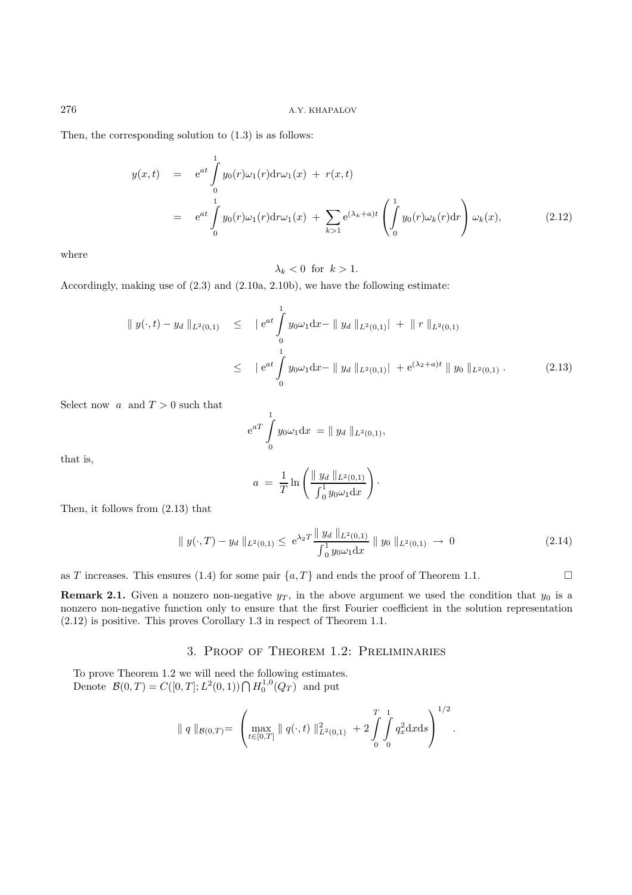Then, the corresponding solution to (1.3) is as follows:

$$
y(x,t) = e^{at} \int_{0}^{1} y_0(r)\omega_1(r) dr \omega_1(x) + r(x,t)
$$
  
=  $e^{at} \int_{0}^{1} y_0(r)\omega_1(r) dr \omega_1(x) + \sum_{k>1} e^{(\lambda_k + a)t} \left( \int_{0}^{1} y_0(r) \omega_k(r) dr \right) \omega_k(x),$  (2.12)

where

 $\lambda_k < 0$  for  $k > 1$ .

Accordingly, making use of (2.3) and (2.10a, 2.10b), we have the following estimate:

$$
\| y(\cdot, t) - y_d \|_{L^2(0,1)} \le \| e^{at} \int_0^1 y_0 \omega_1 dx - \| y_d \|_{L^2(0,1)} + \| r \|_{L^2(0,1)}
$$
  

$$
\le \| e^{at} \int_0^1 y_0 \omega_1 dx - \| y_d \|_{L^2(0,1)} + e^{(\lambda_2 + a)t} \| y_0 \|_{L^2(0,1)}.
$$
 (2.13)

Select now  $a \text{ and } T > 0$  such that

$$
e^{aT} \int_{0}^{1} y_0 \omega_1 dx = || y_d ||_{L^2(0,1)},
$$

that is,

$$
a = \frac{1}{T} \ln \left( \frac{\|y_d\|_{L^2(0,1)}}{\int_0^1 y_0 \omega_1 \mathrm{d}x} \right).
$$

Then, it follows from (2.13) that

$$
\| y(\cdot, T) - y_d \|_{L^2(0,1)} \le e^{\lambda_2 T} \frac{\| y_d \|_{L^2(0,1)}}{\int_0^1 y_0 \omega_1 dx} \| y_0 \|_{L^2(0,1)} \to 0
$$
\n(2.14)

as T increases. This ensures (1.4) for some pair  $\{a, T\}$  and ends the proof of Theorem 1.1.

**Remark 2.1.** Given a nonzero non-negative  $y_T$ , in the above argument we used the condition that  $y_0$  is a nonzero non-negative function only to ensure that the first Fourier coefficient in the solution representation (2.12) is positive. This proves Corollary 1.3 in respect of Theorem 1.1.

# 3. Proof of Theorem 1.2: Preliminaries

To prove Theorem 1.2 we will need the following estimates. Denote  $\mathcal{B}(0,T) = C([0,T]; L^2(0,1)) \bigcap H_0^{1,0}(Q_T)$  and put

$$
\| q \|_{\mathcal{B}(0,T)} = \left( \max_{t \in [0,T]} \| q(\cdot,t) \|_{L^2(0,1)}^2 + 2 \int_0^T \int_0^1 q_x^2 dx ds \right)^{1/2}.
$$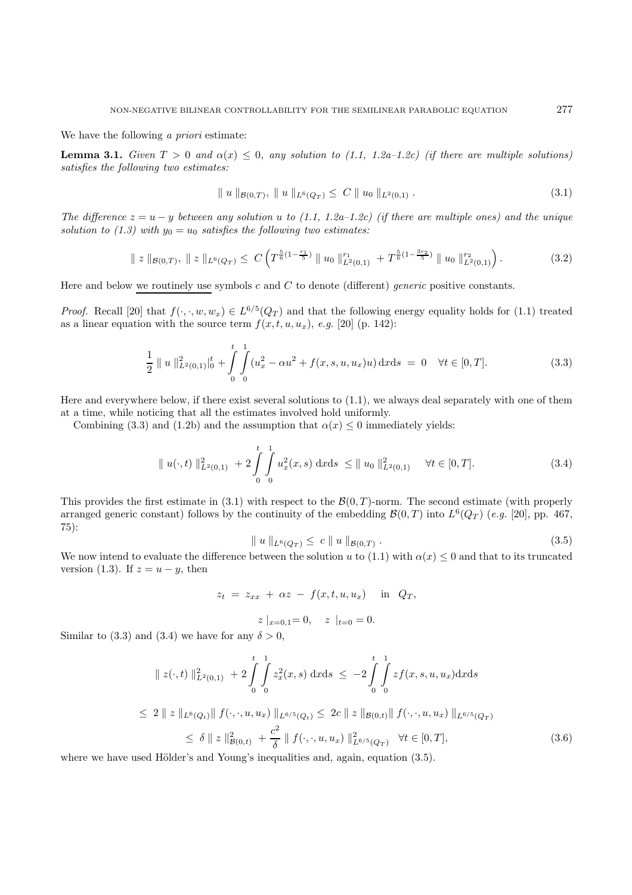We have the following *a priori* estimate:

**Lemma 3.1.** Given  $T > 0$  and  $\alpha(x) \leq 0$ , any solution to (1.1, 1.2a–1.2c) (if there are multiple solutions) satisfies the following two estimates:

$$
\| u \|_{\mathcal{B}(0,T)}, \| u \|_{L^{6}(Q_{T})} \leq C \| u_{0} \|_{L^{2}(0,1)}.
$$
\n(3.1)

The difference  $z = u - y$  between any solution u to (1.1, 1.2a–1.2c) (if there are multiple ones) and the unique solution to (1.3) with  $y_0 = u_0$  satisfies the following two estimates:

$$
\| z \|_{\mathcal{B}(0,T)}, \| z \|_{L^{6}(Q_{T})} \leq C \left( T^{\frac{5}{6}(1-\frac{r_{1}}{5})} \| u_{0} \|_{L^{2}(0,1)}^{r_{1}} + T^{\frac{5}{6}(1-\frac{3r_{2}}{5})} \| u_{0} \|_{L^{2}(0,1)}^{r_{2}} \right).
$$
 (3.2)

Here and below we routinely use symbols c and C to denote (different) generic positive constants.

*Proof.* Recall [20] that  $f(\cdot, \cdot, w, w_x) \in L^{6/5}(Q_T)$  and that the following energy equality holds for (1.1) treated as a linear equation with the source term  $f(x, t, u, u_x)$ , e.g. [20] (p. 142):

$$
\frac{1}{2} \| u \|_{L^{2}(0,1)}^{2} \|_{0}^{t} + \int_{0}^{t} \int_{0}^{1} (u_{x}^{2} - \alpha u^{2} + f(x, s, u, u_{x})u) \, \mathrm{d}x \mathrm{d}s = 0 \quad \forall t \in [0, T]. \tag{3.3}
$$

Here and everywhere below, if there exist several solutions to (1.1), we always deal separately with one of them at a time, while noticing that all the estimates involved hold uniformly.

Combining (3.3) and (1.2b) and the assumption that  $\alpha(x) \leq 0$  immediately yields:

$$
\| u(\cdot, t) \|_{L^2(0,1)}^2 + 2 \int_0^t \int_0^1 u_x^2(x, s) \, dx \, ds \le \| u_0 \|_{L^2(0,1)}^2 \quad \forall t \in [0, T]. \tag{3.4}
$$

This provides the first estimate in  $(3.1)$  with respect to the  $\mathcal{B}(0,T)$ -norm. The second estimate (with properly arranged generic constant) follows by the continuity of the embedding  $\mathcal{B}(0,T)$  into  $L^6(Q_T)$  (e.g. [20], pp. 467, 75):

$$
\| u \|_{L^{6}(Q_T)} \leq c \| u \|_{\mathcal{B}(0,T)} . \tag{3.5}
$$

We now intend to evaluate the difference between the solution u to (1.1) with  $\alpha(x) \leq 0$  and that to its truncated version (1.3). If  $z = u - y$ , then

$$
z_t = z_{xx} + \alpha z - f(x, t, u, u_x) \quad \text{in} \quad Q_T,
$$

$$
z \mid_{x=0,1} = 0, \quad z \mid_{t=0} = 0.
$$

Similar to (3.3) and (3.4) we have for any  $\delta > 0$ ,

$$
\| z(\cdot, t) \|_{L^{2}(0,1)}^{2} + 2 \int_{0}^{t} \int_{0}^{1} z_{x}^{2}(x, s) dx ds \le -2 \int_{0}^{t} \int_{0}^{1} z f(x, s, u, u_{x}) dx ds
$$
  
\n
$$
\le 2 \| z \|_{L^{6}(Q_{t})} \| f(\cdot, \cdot, u, u_{x}) \|_{L^{6/5}(Q_{t})} \le 2c \| z \|_{\mathcal{B}(0,t)} \| f(\cdot, \cdot, u, u_{x}) \|_{L^{6/5}(Q_{T})}
$$
  
\n
$$
\le \delta \| z \|_{\mathcal{B}(0,t)}^{2} + \frac{c^{2}}{\delta} \| f(\cdot, \cdot, u, u_{x}) \|_{L^{6/5}(Q_{T})}^{2} \quad \forall t \in [0, T],
$$
\n(3.6)

where we have used Hölder's and Young's inequalities and, again, equation  $(3.5)$ .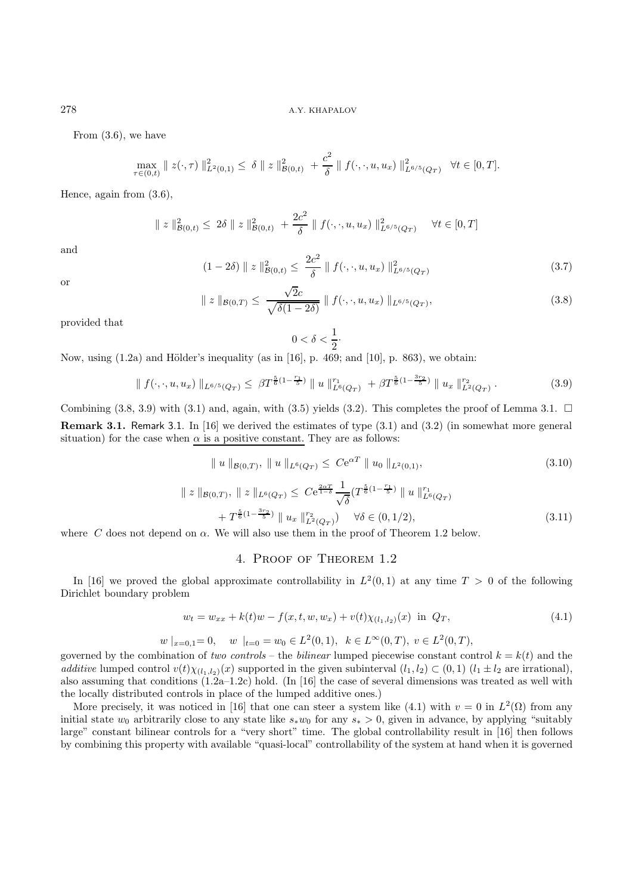From (3.6), we have

$$
\max_{\tau \in (0,t)} \| z(\cdot, \tau) \|_{L^2(0,1)}^2 \le \delta \| z \|_{\mathcal{B}(0,t)}^2 + \frac{c^2}{\delta} \| f(\cdot, \cdot, u, u_x) \|_{L^{6/5}(Q_T)}^2 \quad \forall t \in [0,T].
$$

Hence, again from (3.6),

$$
\| z \|_{\mathcal{B}(0,t)}^2 \le 2\delta \| z \|_{\mathcal{B}(0,t)}^2 + \frac{2c^2}{\delta} \| f(\cdot,\cdot,u,u_x) \|_{L^{6/5}(Q_T)}^2 \quad \forall t \in [0,T]
$$

and

$$
(1 - 2\delta) \| z \|_{\mathcal{B}(0,t)}^2 \le \frac{2c^2}{\delta} \| f(\cdot, \cdot, u, u_x) \|_{L^{6/5}(Q_T)}^2
$$
\n(3.7)

or

$$
\| z \|_{\mathcal{B}(0,T)} \leq \frac{\sqrt{2c}}{\sqrt{\delta(1-2\delta)}} \| f(\cdot, \cdot, u, u_x) \|_{L^{6/5}(Q_T)},
$$
\n(3.8)

provided that

$$
0<\delta<\frac{1}{2}\cdot
$$

Now, using  $(1.2a)$  and Hölder's inequality (as in [16], p. 469; and [10], p. 863), we obtain:

$$
\| f(\cdot, \cdot, u, u_x) \|_{L^{6/5}(Q_T)} \leq \beta T^{\frac{5}{6}(1-\frac{r_1}{5})} \| u \|_{L^6(Q_T)}^{r_1} + \beta T^{\frac{5}{6}(1-\frac{3r_2}{5})} \| u_x \|_{L^2(Q_T)}^{r_2}.
$$
 (3.9)

Combining (3.8, 3.9) with (3.1) and, again, with (3.5) yields (3.2). This completes the proof of Lemma 3.1.  $\Box$ **Remark 3.1.** Remark 3.1. In [16] we derived the estimates of type (3.1) and (3.2) (in somewhat more general situation) for the case when  $\alpha$  is a positive constant. They are as follows:

$$
\| u \|_{\mathcal{B}(0,T)}, \| u \|_{L^{6}(Q_{T})} \leq C e^{\alpha T} \| u_0 \|_{L^{2}(0,1)},
$$
\n
$$
\| z \|_{\mathcal{B}(0,T)}, \| z \|_{L^{6}(Q_{T})} \leq C e^{\frac{2\alpha T}{1-\delta}} \frac{1}{\sqrt{\delta}} (T^{\frac{5}{6}(1-\frac{r_{1}}{5})} \| u \|_{L^{6}(Q_{T})}^{r_{1}}
$$
\n
$$
+ T^{\frac{5}{6}(1-\frac{3r_{2}}{5})} \| u_{x} \|_{L^{2}(Q_{T})}^{r_{2}} \qquad \forall \delta \in (0,1/2),
$$
\n
$$
\text{W} \quad \text{in } \mathcal{A} \quad \text{and} \quad \text{W} \quad \text{in } [0,1/2] \quad \text{for } \mathcal{B} \quad \text{and} \quad \text{and} \quad \text{W} \quad \text{in } [0,1/2] \quad \text{with } \mathcal{B} \quad \text{and} \quad \text{W} \quad \text{in } [0,1/2] \quad \text{with } \mathcal{B} \quad \text{in } [0,1/2] \quad \text{with } \mathcal{B} \quad \text{in } [0,1/2] \quad \text{with } \mathcal{B} \quad \text{in } [0,1/2] \quad \text{with } \mathcal{B} \quad \text{in } [0,1/2] \quad \text{with } \mathcal{B} \quad \text{in } [0,1/2] \quad \text{with } \mathcal{B} \quad \text{in } [0,1/2] \quad \text{with } \mathcal{B} \quad \text{in } [0,1/2] \quad \text{with } \mathcal{B} \quad \text{in } [0,1/2] \quad \text{with } \mathcal{B} \quad \text{in } [0,1/2] \quad \text{with } \mathcal{B} \quad \text{in } [0,1/2] \quad \text{with } \mathcal{B} \quad \text{in } [0,1/2] \quad \text{in } [0,1/2] \quad \text{with } \mathcal{B} \quad \text{in } [0,1/2] \quad \text{in } [0,1/2] \quad \text{in } [0,1/2] \quad \text{in } [0,1/2] \quad \text{in } [0,1/
$$

where C does not depend on  $\alpha$ . We will also use them in the proof of Theorem 1.2 below.

# 4. Proof of Theorem 1.2

In [16] we proved the global approximate controllability in  $L^2(0,1)$  at any time  $T > 0$  of the following Dirichlet boundary problem

$$
w_t = w_{xx} + k(t)w - f(x, t, w, w_x) + v(t)\chi_{(l_1, l_2)}(x) \text{ in } Q_T,
$$
\n(4.1)

$$
w|_{x=0,1}=0
$$
,  $w|_{t=0}=w_0 \in L^2(0,1)$ ,  $k \in L^\infty(0,T)$ ,  $v \in L^2(0,T)$ ,

governed by the combination of two controls – the bilinear lumped piecewise constant control  $k = k(t)$  and the additive lumped control  $v(t)\chi_{(l_1,l_2)}(x)$  supported in the given subinterval  $(l_1,l_2) \subset (0,1)$   $(l_1 \pm l_2$  are irrational), also assuming that conditions  $(1.2a-1.2c)$  hold. (In [16] the case of several dimensions was treated as well with the locally distributed controls in place of the lumped additive ones.)

More precisely, it was noticed in [16] that one can steer a system like (4.1) with  $v = 0$  in  $L^2(\Omega)$  from any initial state  $w_0$  arbitrarily close to any state like  $s_*w_0$  for any  $s_* > 0$ , given in advance, by applying "suitably large" constant bilinear controls for a "very short" time. The global controllability result in [16] then follows by combining this property with available "quasi-local" controllability of the system at hand when it is governed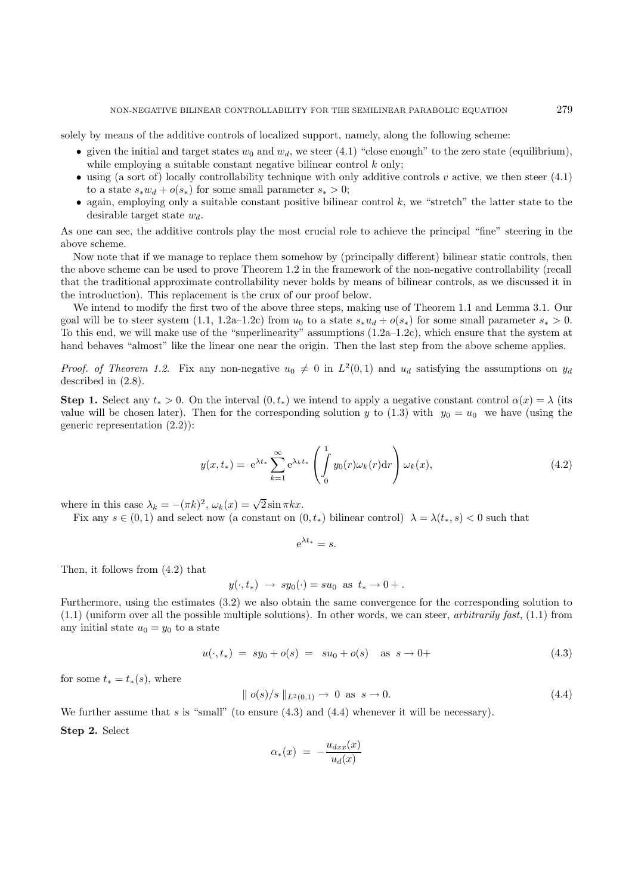solely by means of the additive controls of localized support, namely, along the following scheme:

- given the initial and target states  $w_0$  and  $w_d$ , we steer (4.1) "close enough" to the zero state (equilibrium), while employing a suitable constant negative bilinear control  $k$  only;
- using (a sort of) locally controllability technique with only additive controls  $v$  active, we then steer (4.1) to a state  $s_*w_d + o(s_*)$  for some small parameter  $s_* > 0$ ;
- again, employing only a suitable constant positive bilinear control  $k$ , we "stretch" the latter state to the desirable target state  $w_d$ .

As one can see, the additive controls play the most crucial role to achieve the principal "fine" steering in the above scheme.

Now note that if we manage to replace them somehow by (principally different) bilinear static controls, then the above scheme can be used to prove Theorem 1.2 in the framework of the non-negative controllability (recall that the traditional approximate controllability never holds by means of bilinear controls, as we discussed it in the introduction). This replacement is the crux of our proof below.

We intend to modify the first two of the above three steps, making use of Theorem 1.1 and Lemma 3.1. Our goal will be to steer system  $(1.1, 1.2a-1.2c)$  from  $u_0$  to a state  $s_*u_d + o(s_*)$  for some small parameter  $s_* > 0$ . To this end, we will make use of the "superlinearity" assumptions (1.2a–1.2c), which ensure that the system at hand behaves "almost" like the linear one near the origin. Then the last step from the above scheme applies.

*Proof. of Theorem 1.2.* Fix any non-negative  $u_0 \neq 0$  in  $L^2(0,1)$  and  $u_d$  satisfying the assumptions on  $y_d$ described in (2.8).

**Step 1.** Select any  $t_* > 0$ . On the interval  $(0, t_*)$  we intend to apply a negative constant control  $\alpha(x) = \lambda$  (its value will be chosen later). Then for the corresponding solution y to (1.3) with  $y_0 = u_0$  we have (using the generic representation (2.2)):

$$
y(x,t_*) = e^{\lambda t_*} \sum_{k=1}^{\infty} e^{\lambda_k t_*} \left( \int_0^1 y_0(r) \omega_k(r) dr \right) \omega_k(x), \tag{4.2}
$$

where in this case  $\lambda_k = -(\pi k)^2$ ,  $\omega_k(x) = \sqrt{2} \sin \pi kx$ .

Fix any  $s \in (0,1)$  and select now (a constant on  $(0,t_*)$  bilinear control)  $\lambda = \lambda(t_*,s) < 0$  such that

$$
e^{\lambda t_*} = s.
$$

Then, it follows from (4.2) that

$$
y(\cdot, t_*) \rightarrow sy_0(\cdot) = su_0 \text{ as } t_* \rightarrow 0 +.
$$

Furthermore, using the estimates (3.2) we also obtain the same convergence for the corresponding solution to  $(1.1)$  (uniform over all the possible multiple solutions). In other words, we can steer, *arbitrarily fast*,  $(1.1)$  from any initial state  $u_0 = y_0$  to a state

$$
u(\cdot, t_*) = sy_0 + o(s) = su_0 + o(s) \quad \text{as } s \to 0+
$$
\n(4.3)

for some  $t_* = t_*(s)$ , where

$$
\| o(s)/s \|_{L^2(0,1)} \to 0 \text{ as } s \to 0. \tag{4.4}
$$

We further assume that s is "small" (to ensure  $(4.3)$  and  $(4.4)$  whenever it will be necessary).

**Step 2.** Select

$$
\alpha_*(x) = -\frac{u_{dxx}(x)}{u_d(x)}
$$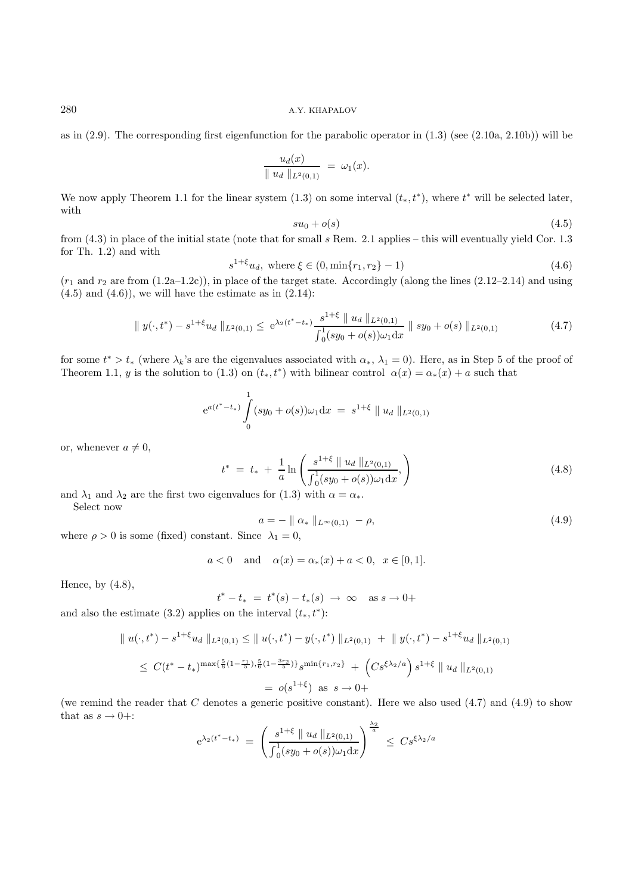as in (2.9). The corresponding first eigenfunction for the parabolic operator in (1.3) (see (2.10a, 2.10b)) will be

$$
\frac{u_d(x)}{\|u_d\|_{L^2(0,1)}} = \omega_1(x).
$$

We now apply Theorem 1.1 for the linear system (1.3) on some interval  $(t_*, t^*)$ , where  $t^*$  will be selected later, with

$$
su_0 + o(s) \tag{4.5}
$$

from (4.3) in place of the initial state (note that for small s Rem. 2.1 applies – this will eventually yield Cor. 1.3 for Th. 1.2) and with

$$
s^{1+\xi}u_d, \text{ where } \xi \in (0, \min\{r_1, r_2\} - 1)
$$
\n(4.6)

 $(r_1$  and  $r_2$  are from  $(1.2a-1.2c)$ ), in place of the target state. Accordingly (along the lines  $(2.12-2.14)$ ) and using  $(4.5)$  and  $(4.6)$ , we will have the estimate as in  $(2.14)$ :

$$
\| y(\cdot, t^*) - s^{1+\xi} u_d \|_{L^2(0,1)} \le e^{\lambda_2 (t^* - t_*)} \frac{s^{1+\xi} \| u_d \|_{L^2(0,1)}}{\int_0^1 (sy_0 + o(s)) \omega_1 dx} \| sy_0 + o(s) \|_{L^2(0,1)} \tag{4.7}
$$

for some  $t^* > t_*$  (where  $\lambda_k$ 's are the eigenvalues associated with  $\alpha_*, \lambda_1 = 0$ ). Here, as in Step 5 of the proof of Theorem 1.1, y is the solution to (1.3) on  $(t_*, t^*)$  with bilinear control  $\alpha(x) = \alpha_*(x) + a$  such that

$$
e^{a(t^* - t_*)} \int_{0}^{1} (sy_0 + o(s))\omega_1 dx = s^{1+\xi} || u_d ||_{L^2(0,1)}
$$

or, whenever  $a \neq 0$ ,

$$
t^* = t_* + \frac{1}{a} \ln \left( \frac{s^{1+\xi} \parallel u_d \parallel_{L^2(0,1)}}{\int_0^1 (sy_0 + o(s)) \omega_1 \, dx}, \right)
$$
(4.8)

and  $\lambda_1$  and  $\lambda_2$  are the first two eigenvalues for (1.3) with  $\alpha = \alpha_*$ .

Select now

$$
a = - \parallel \alpha_* \parallel_{L^{\infty}(0,1)} - \rho,
$$
  
fixed) constant. Since  $\lambda_1 = 0$ . (4.9)

where  $\rho > 0$  is some (fixed) constant. Since  $\lambda_1 = 0$ ,

$$
a < 0
$$
 and  $\alpha(x) = \alpha_*(x) + a < 0, x \in [0, 1].$ 

Hence, by  $(4.8)$ ,

$$
t^* - t_* = t^*(s) - t_*(s) \to \infty \text{ as } s \to 0+
$$

and also the estimate (3.2) applies on the interval  $(t_*, t^*)$ :

$$
\| u(\cdot, t^*) - s^{1+\xi} u_d \|_{L^2(0,1)} \leq \| u(\cdot, t^*) - y(\cdot, t^*) \|_{L^2(0,1)} + \| y(\cdot, t^*) - s^{1+\xi} u_d \|_{L^2(0,1)}
$$
  
\n
$$
\leq C(t^* - t_*)^{\max\{\frac{5}{6}(1 - \frac{r_1}{5}), \frac{5}{6}(1 - \frac{3r_2}{5})\}} s^{\min\{r_1, r_2\}} + (Cs^{\xi\lambda_2/a}) s^{1+\xi} \| u_d \|_{L^2(0,1)}
$$
  
\n
$$
= o(s^{1+\xi}) \text{ as } s \to 0+
$$

(we remind the reader that  $C$  denotes a generic positive constant). Here we also used  $(4.7)$  and  $(4.9)$  to show that as  $s \to 0+$ :

$$
e^{\lambda_2(t^* - t_*)}
$$
 =  $\left(\frac{s^{1+\xi} \parallel u_d \parallel_{L^2(0,1)}}{\int_0^1 (sy_0 + o(s))\omega_1 dx}\right)^{\frac{\lambda_2}{a}} \leq Cs^{\xi \lambda_2/a}$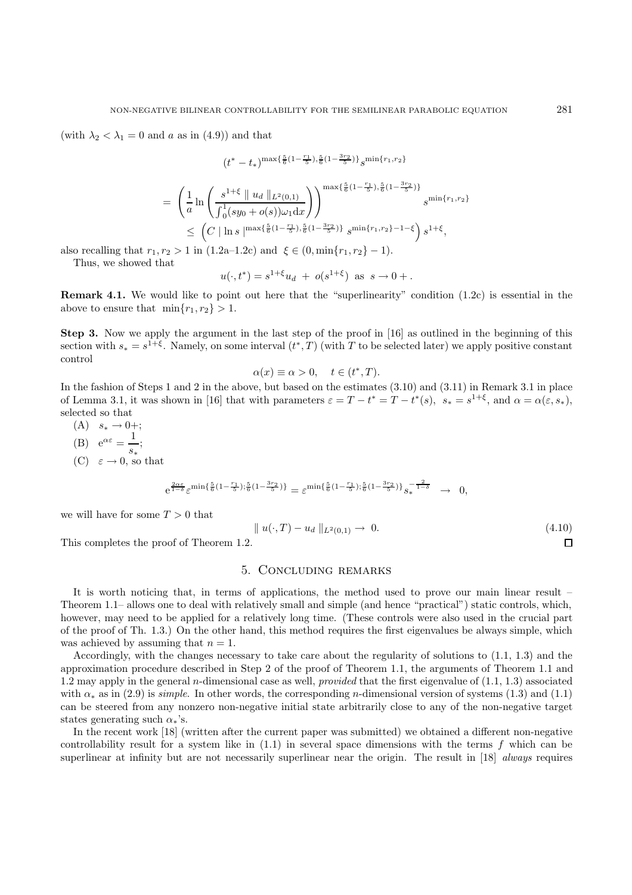(with  $\lambda_2 < \lambda_1 = 0$  and a as in (4.9)) and that

$$
(t^*-t_*)^{\max\{\frac{5}{6}(1-\frac{r_1}{5}),\frac{5}{6}(1-\frac{3r_2}{5})\}}s^{\min\{r_1,r_2\}}
$$

$$
= \left(\frac{1}{a}\ln\left(\frac{s^{1+\xi}\parallel u_d\parallel_{L^2(0,1)}}{\int_0^1(sy_0+o(s))\omega_1 dx}\right)\right)^{\max\{\frac{5}{6}(1-\frac{r_1}{5}),\frac{5}{6}(1-\frac{3r_2}{5})\}}s^{\min\{r_1,r_2\}}\right)^{\min\{r_1,r_2\}}\leq (C|\ln s|^{ \max\{\frac{5}{6}(1-\frac{r_1}{5}),\frac{5}{6}(1-\frac{3r_2}{5})\}}s^{\min\{r_1,r_2\}-1-\xi}\right)s^{1+\xi},
$$

also recalling that  $r_1, r_2 > 1$  in  $(1.2a-1.2c)$  and  $\xi \in (0, \min\{r_1, r_2\} - 1)$ .

Thus, we showed that

$$
u(\cdot, t^*) = s^{1+\xi}u_d + o(s^{1+\xi})
$$
 as  $s \to 0+$ .

**Remark 4.1.** We would like to point out here that the "superlinearity" condition (1.2c) is essential in the above to ensure that  $\min\{r_1, r_2\} > 1$ .

**Step 3.** Now we apply the argument in the last step of the proof in [16] as outlined in the beginning of this section with  $s_* = s^{1+\xi}$ . Namely, on some interval  $(t^*, T)$  (with T to be selected later) we apply positive constant control

$$
\alpha(x) \equiv \alpha > 0, \quad t \in (t^*, T).
$$

In the fashion of Steps 1 and 2 in the above, but based on the estimates (3.10) and (3.11) in Remark 3.1 in place of Lemma 3.1, it was shown in [16] that with parameters  $\varepsilon = T - t^* = T - t^*(s)$ ,  $s_* = s^{1+\xi}$ , and  $\alpha = \alpha(\varepsilon, s_*)$ , selected so that

- $(A)$   $s_*$  → 0+; (B)  $e^{\alpha \varepsilon} = \frac{1}{s_*};$
- $(C) \in \rightarrow 0$ , so that

$$
e^{\frac{2\alpha\varepsilon}{1-\delta}}\varepsilon^{\min\{\frac{5}{6}(1-\frac{r_1}{5});\frac{5}{6}(1-\frac{3r_2}{5})\}} = \varepsilon^{\min\{\frac{5}{6}(1-\frac{r_1}{5});\frac{5}{6}(1-\frac{3r_2}{5})\}}s_*^{-\frac{2}{1-\delta}} \to 0,
$$

we will have for some  $T > 0$  that

$$
\|u(\cdot,T) - u_d\|_{L^2(0,1)} \to 0. \tag{4.10}
$$

This completes the proof of Theorem 1.2.

#### 5. Concluding remarks

It is worth noticing that, in terms of applications, the method used to prove our main linear result – Theorem 1.1– allows one to deal with relatively small and simple (and hence "practical") static controls, which, however, may need to be applied for a relatively long time. (These controls were also used in the crucial part of the proof of Th. 1.3.) On the other hand, this method requires the first eigenvalues be always simple, which was achieved by assuming that  $n = 1$ .

Accordingly, with the changes necessary to take care about the regularity of solutions to (1.1, 1.3) and the approximation procedure described in Step 2 of the proof of Theorem 1.1, the arguments of Theorem 1.1 and 1.2 may apply in the general *n*-dimensional case as well, *provided* that the first eigenvalue of  $(1.1, 1.3)$  associated with  $\alpha_*$  as in (2.9) is *simple*. In other words, the corresponding *n*-dimensional version of systems (1.3) and (1.1) can be steered from any nonzero non-negative initial state arbitrarily close to any of the non-negative target states generating such  $\alpha_*$ 's.

In the recent work [18] (written after the current paper was submitted) we obtained a different non-negative controllability result for a system like in  $(1.1)$  in several space dimensions with the terms f which can be superlinear at infinity but are not necessarily superlinear near the origin. The result in [18] always requires

 $\Box$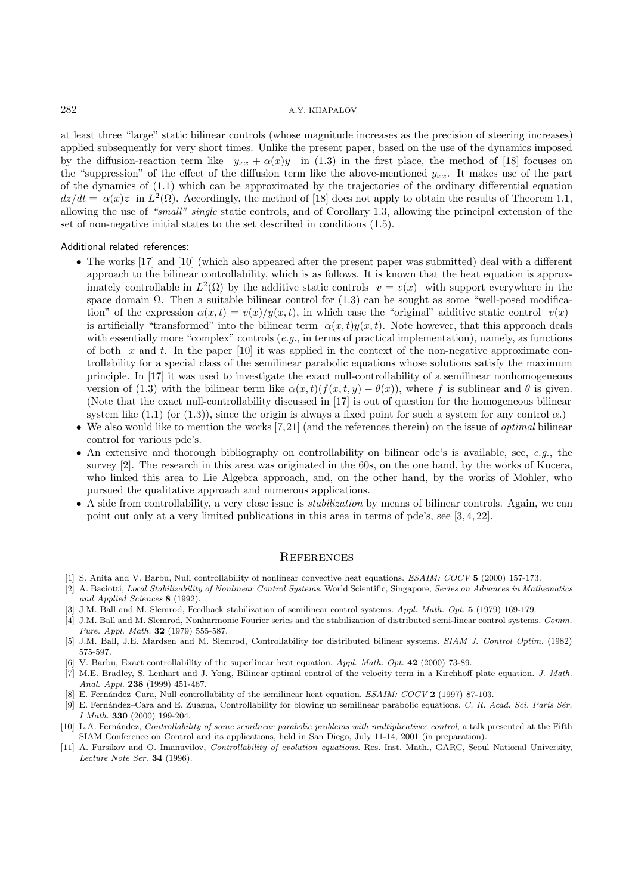at least three "large" static bilinear controls (whose magnitude increases as the precision of steering increases) applied subsequently for very short times. Unlike the present paper, based on the use of the dynamics imposed by the diffusion-reaction term like  $y_{xx} + \alpha(x)y$  in (1.3) in the first place, the method of [18] focuses on the "suppression" of the effect of the diffusion term like the above-mentioned  $y_{xx}$ . It makes use of the part of the dynamics of (1.1) which can be approximated by the trajectories of the ordinary differential equation  $dz/dt = \alpha(x)z$  in  $L^2(\Omega)$ . Accordingly, the method of [18] does not apply to obtain the results of Theorem 1.1, allowing the use of "small" single static controls, and of Corollary 1.3, allowing the principal extension of the set of non-negative initial states to the set described in conditions (1.5).

#### Additional related references:

- The works [17] and [10] (which also appeared after the present paper was submitted) deal with a different approach to the bilinear controllability, which is as follows. It is known that the heat equation is approximately controllable in  $L^2(\Omega)$  by the additive static controls  $v = v(x)$  with support everywhere in the space domain  $\Omega$ . Then a suitable bilinear control for (1.3) can be sought as some "well-posed modification" of the expression  $\alpha(x,t) = v(x)/y(x,t)$ , in which case the "original" additive static control  $v(x)$ is artificially "transformed" into the bilinear term  $\alpha(x, t)y(x, t)$ . Note however, that this approach deals with essentially more "complex" controls  $(e.g.,$  in terms of practical implementation), namely, as functions of both  $x$  and  $t$ . In the paper  $[10]$  it was applied in the context of the non-negative approximate controllability for a special class of the semilinear parabolic equations whose solutions satisfy the maximum principle. In [17] it was used to investigate the exact null-controllability of a semilinear nonhomogeneous version of (1.3) with the bilinear term like  $\alpha(x, t)(f(x, t, y) - \theta(x))$ , where f is sublinear and  $\theta$  is given. (Note that the exact null-controllability discussed in [17] is out of question for the homogeneous bilinear system like  $(1.1)$  (or  $(1.3)$ ), since the origin is always a fixed point for such a system for any control  $\alpha$ .)
- We also would like to mention the works  $(7,21)$  (and the references therein) on the issue of *optimal* bilinear control for various pde's.
- An extensive and thorough bibliography on controllability on bilinear ode's is available, see,  $e.g.,$  the survey [2]. The research in this area was originated in the 60s, on the one hand, by the works of Kucera, who linked this area to Lie Algebra approach, and, on the other hand, by the works of Mohler, who pursued the qualitative approach and numerous applications.
- A side from controllability, a very close issue is stabilization by means of bilinear controls. Again, we can point out only at a very limited publications in this area in terms of pde's, see [3, 4, 22].

#### **REFERENCES**

- [1] S. Anita and V. Barbu, Null controllability of nonlinear convective heat equations. ESAIM: COCV **5** (2000) 157-173.
- [2] A. Baciotti, Local Stabilizability of Nonlinear Control Systems. World Scientific, Singapore, Series on Advances in Mathematics and Applied Sciences **8** (1992).
- [3] J.M. Ball and M. Slemrod, Feedback stabilization of semilinear control systems. Appl. Math. Opt. **5** (1979) 169-179.
- [4] J.M. Ball and M. Slemrod, Nonharmonic Fourier series and the stabilization of distributed semi-linear control systems. Comm. Pure. Appl. Math. **32** (1979) 555-587.
- [5] J.M. Ball, J.E. Mardsen and M. Slemrod, Controllability for distributed bilinear systems. SIAM J. Control Optim. (1982) 575-597.
- [6] V. Barbu, Exact controllability of the superlinear heat equation. Appl. Math. Opt. **42** (2000) 73-89.
- [7] M.E. Bradley, S. Lenhart and J. Yong, Bilinear optimal control of the velocity term in a Kirchhoff plate equation. J. Math. Anal. Appl. **238** (1999) 451-467.
- [8] E. Fern´andez–Cara, Null controllability of the semilinear heat equation. ESAIM: COCV **2** (1997) 87-103.
- [9] E. Fernández–Cara and E. Zuazua, Controllability for blowing up semilinear parabolic equations. C. R. Acad. Sci. Paris Sér. I Math. **330** (2000) 199-204.
- [10] L.A. Fernández, Controllability of some semilnear parabolic problems with multiplicativee control, a talk presented at the Fifth SIAM Conference on Control and its applications, held in San Diego, July 11-14, 2001 (in preparation).
- [11] A. Fursikov and O. Imanuvilov, Controllability of evolution equations. Res. Inst. Math., GARC, Seoul National University, Lecture Note Ser. **34** (1996).